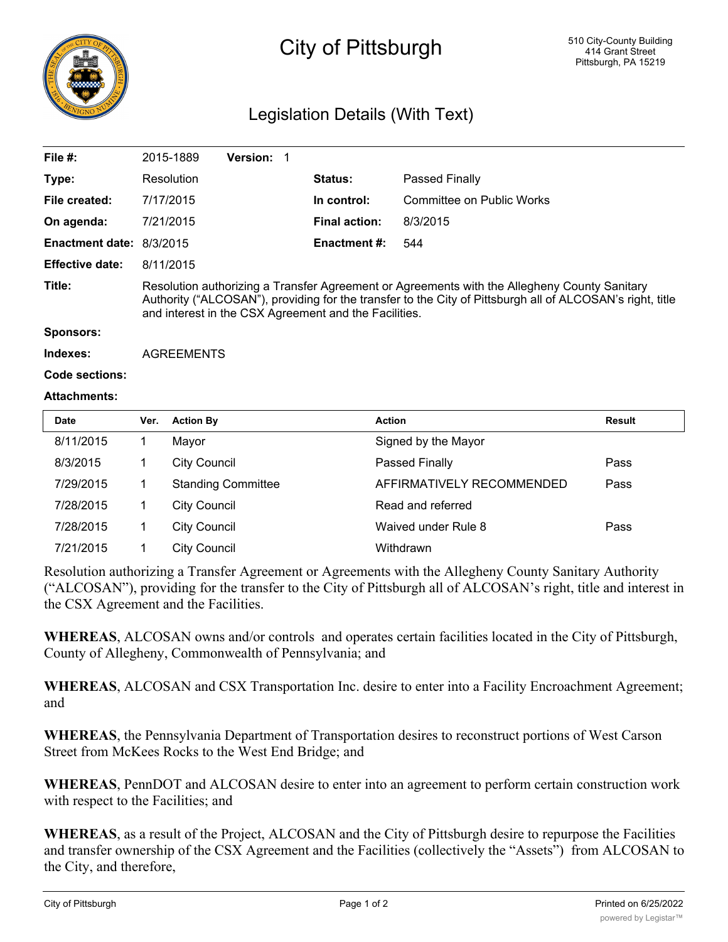

# City of Pittsburgh

### Legislation Details (With Text)

| File $#$ :               | 2015-1889                                                                                                                                                                                                                                                          | <b>Version: 1</b> |                      |                           |  |
|--------------------------|--------------------------------------------------------------------------------------------------------------------------------------------------------------------------------------------------------------------------------------------------------------------|-------------------|----------------------|---------------------------|--|
| Type:                    | Resolution                                                                                                                                                                                                                                                         |                   | Status:              | Passed Finally            |  |
| File created:            | 7/17/2015                                                                                                                                                                                                                                                          |                   | In control:          | Committee on Public Works |  |
| On agenda:               | 7/21/2015                                                                                                                                                                                                                                                          |                   | <b>Final action:</b> | 8/3/2015                  |  |
| Enactment date: 8/3/2015 |                                                                                                                                                                                                                                                                    |                   | <b>Enactment #:</b>  | 544                       |  |
| <b>Effective date:</b>   | 8/11/2015                                                                                                                                                                                                                                                          |                   |                      |                           |  |
| Title:                   | Resolution authorizing a Transfer Agreement or Agreements with the Allegheny County Sanitary<br>Authority ("ALCOSAN"), providing for the transfer to the City of Pittsburgh all of ALCOSAN's right, title<br>and interest in the CSX Agreement and the Facilities. |                   |                      |                           |  |
| Sponsors:                |                                                                                                                                                                                                                                                                    |                   |                      |                           |  |
| Indexes:                 | <b>AGREEMENTS</b>                                                                                                                                                                                                                                                  |                   |                      |                           |  |
|                          |                                                                                                                                                                                                                                                                    |                   |                      |                           |  |

## **Code sections:**

#### **Attachments:**

| <b>Date</b> | Ver. | <b>Action By</b>          | Action                    | Result |
|-------------|------|---------------------------|---------------------------|--------|
| 8/11/2015   |      | Mayor                     | Signed by the Mayor       |        |
| 8/3/2015    |      | <b>City Council</b>       | Passed Finally            | Pass   |
| 7/29/2015   |      | <b>Standing Committee</b> | AFFIRMATIVELY RECOMMENDED | Pass   |
| 7/28/2015   |      | <b>City Council</b>       | Read and referred         |        |
| 7/28/2015   |      | <b>City Council</b>       | Waived under Rule 8       | Pass   |
| 7/21/2015   |      | <b>City Council</b>       | Withdrawn                 |        |

Resolution authorizing a Transfer Agreement or Agreements with the Allegheny County Sanitary Authority ("ALCOSAN"), providing for the transfer to the City of Pittsburgh all of ALCOSAN's right, title and interest in the CSX Agreement and the Facilities.

**WHEREAS**, ALCOSAN owns and/or controls and operates certain facilities located in the City of Pittsburgh, County of Allegheny, Commonwealth of Pennsylvania; and

**WHEREAS**, ALCOSAN and CSX Transportation Inc. desire to enter into a Facility Encroachment Agreement; and

**WHEREAS**, the Pennsylvania Department of Transportation desires to reconstruct portions of West Carson Street from McKees Rocks to the West End Bridge; and

**WHEREAS**, PennDOT and ALCOSAN desire to enter into an agreement to perform certain construction work with respect to the Facilities; and

**WHEREAS**, as a result of the Project, ALCOSAN and the City of Pittsburgh desire to repurpose the Facilities and transfer ownership of the CSX Agreement and the Facilities (collectively the "Assets") from ALCOSAN to the City, and therefore,